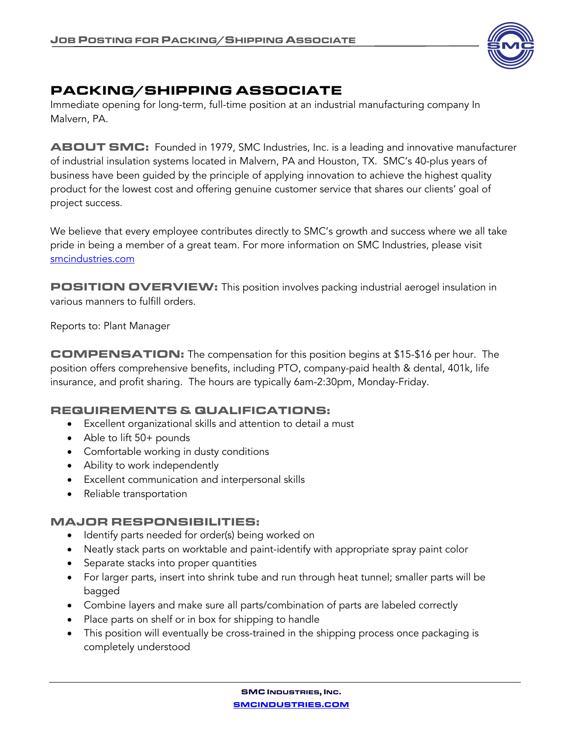

# PACKING/SHIPPING ASSOCIATE

Immediate opening for long-term, full-time position at an industrial manufacturing company In Malvern, PA.

ABOUT SMC: Founded in 1979, SMC Industries, Inc. is a leading and innovative manufacturer of industrial insulation systems located in Malvern, PA and Houston, TX. SMC's 40-plus years of business have been guided by the principle of applying innovation to achieve the highest quality product for the lowest cost and offering genuine customer service that shares our clients' goal of project success.

We believe that every employee contributes directly to SMC's growth and success where we all take pride in being a member of a great team. For more information on SMC Industries, please visit smcindustries.com

POSITION OVERVIEW: This position involves packing industrial aerogel insulation in various manners to fulfill orders.

Reports to: Plant Manager

COMPENSATION: The compensation for this position begins at \$15-\$16 per hour. The position offers comprehensive benefits, including PTO, company-paid health & dental, 401k, life insurance, and profit sharing. The hours are typically 6am-2:30pm, Monday-Friday.

## REQUIREMENTS & QUALIFICATIONS:

- Excellent organizational skills and attention to detail a must
- Able to lift 50+ pounds
- Comfortable working in dusty conditions
- Ability to work independently
- Excellent communication and interpersonal skills
- Reliable transportation

## MAJOR RESPONSIBILITIES:

- Identify parts needed for order(s) being worked on
- Neatly stack parts on worktable and paint-identify with appropriate spray paint color
- Separate stacks into proper quantities
- For larger parts, insert into shrink tube and run through heat tunnel; smaller parts will be bagged
- Combine layers and make sure all parts/combination of parts are labeled correctly
- Place parts on shelf or in box for shipping to handle
- This position will eventually be cross-trained in the shipping process once packaging is completely understood